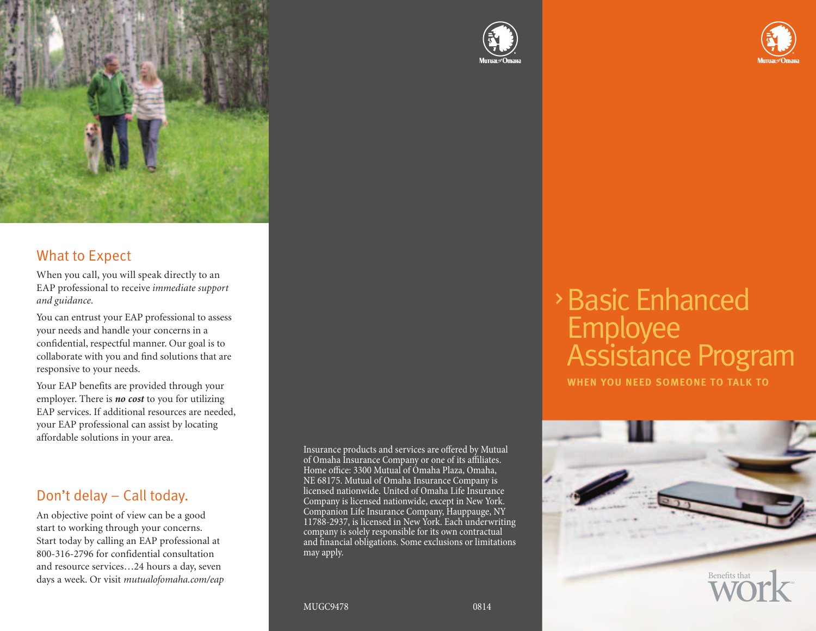

### What to Expect

When you call, you will speak directly to an EAP professional to receive *immediate support and guidance.* 

You can entrust your EAP professional to assess your needs and handle your concerns in a confidential, respectful manner. Our goal is to collaborate with you and find solutions that are responsive to your needs.

Your EAP benefits are provided through your employer. There is *no cost* to you for utilizing EAP services. If additional resources are needed, your EAP professional can assist by locating affordable solutions in your area.

## Don't delay – Call today.

An objective point of view can be a good start to working through your concerns. Start today by calling an EAP professional at 800-316-2796 for confidential consultation and resource services…24 hours a day, seven days a week. Or visit *mutualofomaha.com/eap*

Insurance products and services are offered by Mutual of Omaha Insurance Company or one of its affiliates. Home office: 3300 Mutual of Omaha Plaza, Omaha, NE 68175. Mutual of Omaha Insurance Company is licensed nationwide. United of Omaha Life Insurance Company is licensed nationwide, except in New York. Companion Life Insurance Company, Hauppauge, NY 11788-2937, is licensed in New York. Each underwriting company is solely responsible for its own contractual and financial obligations. Some exclusions or limitations may apply.





# Assistance Program Basic Enhanced Employee

**SUBHEAD WHEN YOU NEED SOMEONE TO TALK TO**